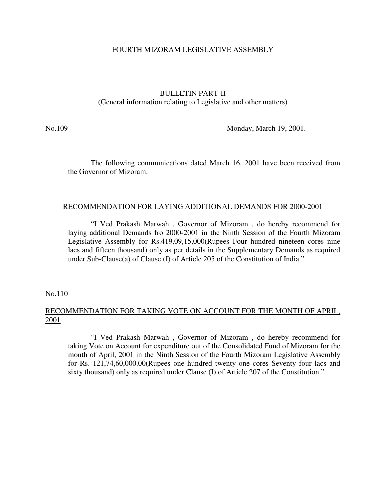#### FOURTH MIZORAM LEGISLATIVE ASSEMBLY

# BULLETIN PART-II (General information relating to Legislative and other matters)

No.109 Monday, March 19, 2001.

The following communications dated March 16, 2001 have been received from the Governor of Mizoram.

#### RECOMMENDATION FOR LAYING ADDITIONAL DEMANDS FOR 2000-2001

"I Ved Prakash Marwah , Governor of Mizoram , do hereby recommend for laying additional Demands fro 2000-2001 in the Ninth Session of the Fourth Mizoram Legislative Assembly for Rs.419,09,15,000(Rupees Four hundred nineteen cores nine lacs and fifteen thousand) only as per details in the Supplementary Demands as required under Sub-Clause(a) of Clause (I) of Article 205 of the Constitution of India."

No.110

# RECOMMENDATION FOR TAKING VOTE ON ACCOUNT FOR THE MONTH OF APRIL, 2001

"I Ved Prakash Marwah , Governor of Mizoram , do hereby recommend for taking Vote on Account for expenditure out of the Consolidated Fund of Mizoram for the month of April, 2001 in the Ninth Session of the Fourth Mizoram Legislative Assembly for Rs. 121,74,60,000.00(Rupees one hundred twenty one cores Seventy four lacs and sixty thousand) only as required under Clause (I) of Article 207 of the Constitution."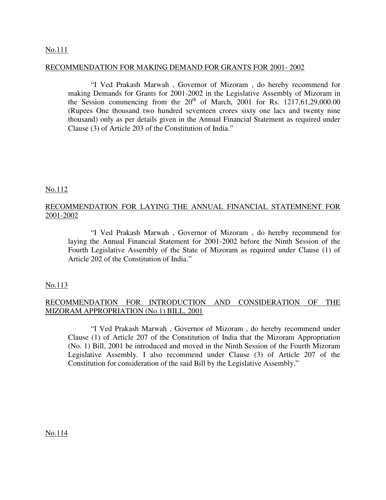#### No.111

#### RECOMMENDATION FOR MAKING DEMAND FOR GRANTS FOR 2001- 2002

"I Ved Prakash Marwah , Governor of Mizoram , do hereby recommend for making Demands for Grants for 2001-2002 in the Legislative Assembly of Mizoram in the Session commencing from the  $20<sup>th</sup>$  of March, 2001 for Rs. 1217,61,29,000.00 (Rupees One thousand two hundred seventeen crores sixty one lacs and twenty nine thousand) only as per details given in the Annual Financial Statement as required under Clause (3) of Article 203 of the Constitution of India."

#### No.112

## RECOMMENDATION FOR LAYING THE ANNUAL FINANCIAL STATEMNENT FOR 2001-2002

"I Ved Prakash Marwah , Governor of Mizoram , do hereby recommend for laying the Annual Financial Statement for 2001-2002 before the Ninth Session of the Fourth Legislative Assembly of the State of Mizoram as required under Clause (1) of Article 202 of the Constitution of India."

### No.113

# RECOMMENDATION FOR INTRODUCTION AND CONSIDERATION OF THE MIZORAM APPROPRIATION (No.1) BILL, 2001

"I Ved Prakash Marwah , Governor of Mizoram , do hereby recommend under Clause (1) of Article 207 of the Constitution of India that the Mizoram Appropriation (No. 1) Bill, 2001 be introduced and moved in the Ninth Session of the Fourth Mizoram Legislative Assembly. I also recommend under Clause (3) of Article 207 of the Constitution for consideration of the said Bill by the Legislative Assembly."

No.114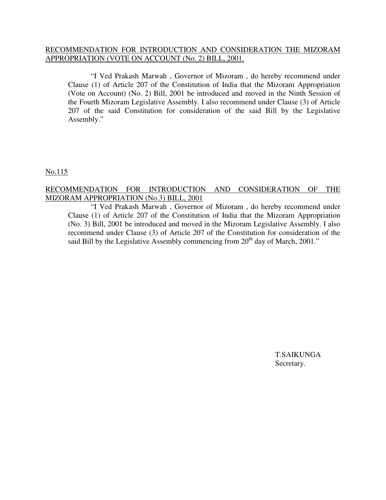# RECOMMENDATION FOR INTRODUCTION AND CONSIDERATION THE MIZORAM APPROPRIATION (VOTE ON ACCOUNT (No. 2) BILL, 2001.

"I Ved Prakash Marwah , Governor of Mizoram , do hereby recommend under Clause (1) of Article 207 of the Constitution of India that the Mizoram Appropriation (Vote on Account) (No. 2) Bill, 2001 be introduced and moved in the Ninth Session of the Fourth Mizoram Legislative Assembly. I also recommend under Clause (3) of Article 207 of the said Constitution for consideration of the said Bill by the Legislative Assembly."

No.115

### RECOMMENDATION FOR INTRODUCTION AND CONSIDERATION OF THE MIZORAM APPROPRIATION (No.3) BILL, 2001

"I Ved Prakash Marwah , Governor of Mizoram , do hereby recommend under Clause (1) of Article 207 of the Constitution of India that the Mizoram Appropriation (No. 3) Bill, 2001 be introduced and moved in the Mizoram Legislative Assembly. I also recommend under Clause (3) of Article 207 of the Constitution for consideration of the said Bill by the Legislative Assembly commencing from  $20<sup>th</sup>$  day of March, 2001."

> T.SAIKUNGA Secretary.